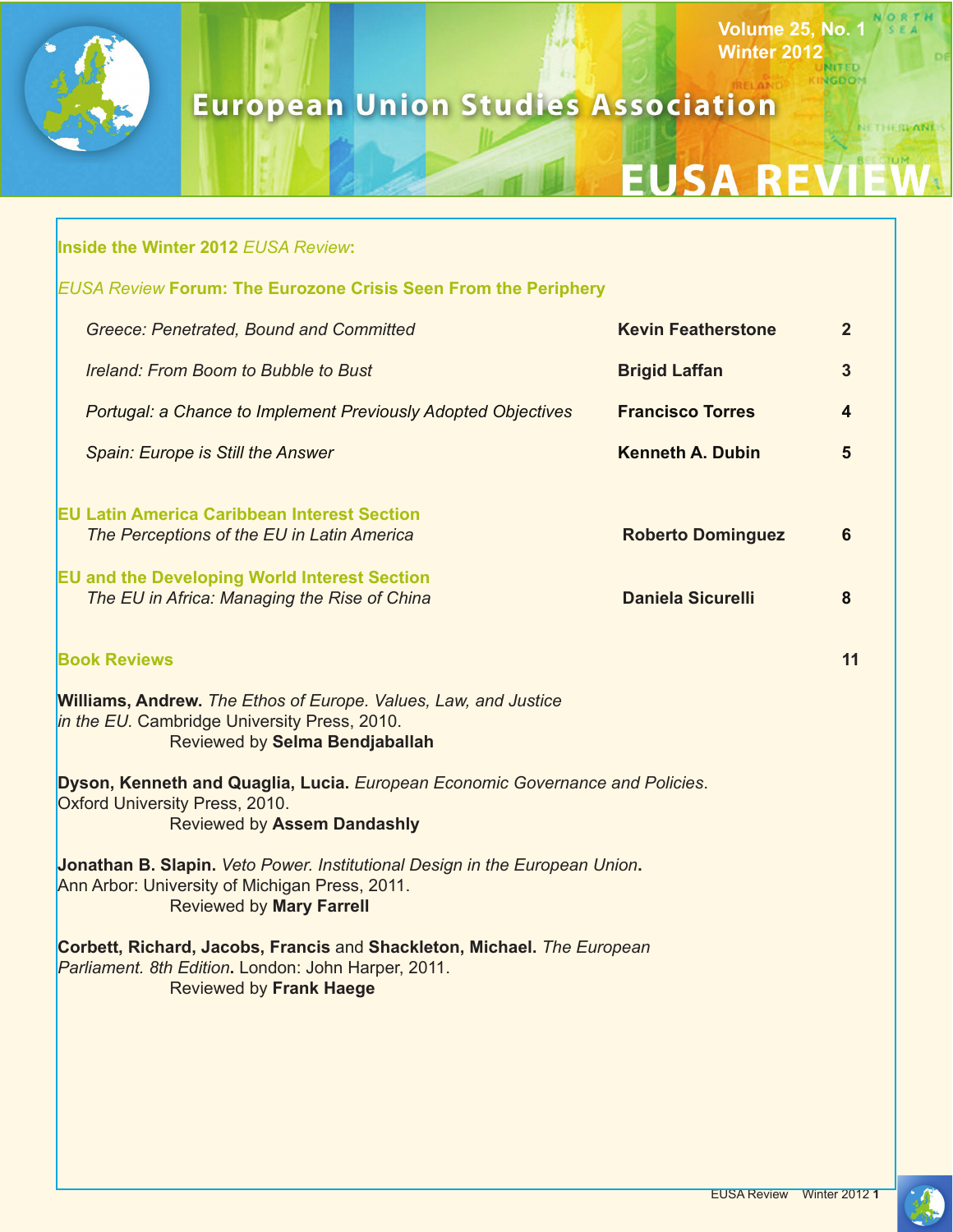

# **European Union Studies Association**

# **EUSA REVI**

**Volume 25, No. 1**

**NGDOM** 

NORTH

NETHERLANDS

**Winter 2012**

|                                                                                                                                                | <b>Inside the Winter 2012 EUSA Review:</b>                                                                                                                       |                           |                |
|------------------------------------------------------------------------------------------------------------------------------------------------|------------------------------------------------------------------------------------------------------------------------------------------------------------------|---------------------------|----------------|
| <b>EUSA Review Forum: The Eurozone Crisis Seen From the Periphery</b>                                                                          |                                                                                                                                                                  |                           |                |
|                                                                                                                                                | Greece: Penetrated, Bound and Committed                                                                                                                          | <b>Kevin Featherstone</b> | $\overline{2}$ |
|                                                                                                                                                | Ireland: From Boom to Bubble to Bust                                                                                                                             | <b>Brigid Laffan</b>      | 3              |
|                                                                                                                                                | Portugal: a Chance to Implement Previously Adopted Objectives                                                                                                    | <b>Francisco Torres</b>   | 4              |
|                                                                                                                                                | Spain: Europe is Still the Answer                                                                                                                                | <b>Kenneth A. Dubin</b>   | 5              |
|                                                                                                                                                | <b>EU Latin America Caribbean Interest Section</b><br>The Perceptions of the EU in Latin America<br><b>EU and the Developing World Interest Section</b>          | <b>Roberto Dominguez</b>  | 6              |
|                                                                                                                                                | The EU in Africa: Managing the Rise of China                                                                                                                     | <b>Daniela Sicurelli</b>  | 8              |
| <b>Book Reviews</b>                                                                                                                            |                                                                                                                                                                  |                           | 11             |
|                                                                                                                                                | <b>Williams, Andrew.</b> The Ethos of Europe. Values, Law, and Justice<br>in the EU. Cambridge University Press, 2010.<br>Reviewed by Selma Bendjaballah         |                           |                |
| Dyson, Kenneth and Quaglia, Lucia. European Economic Governance and Policies.<br>Oxford University Press, 2010.<br>Reviewed by Assem Dandashly |                                                                                                                                                                  |                           |                |
|                                                                                                                                                | Jonathan B. Slapin. Veto Power. Institutional Design in the European Union.<br>Ann Arbor: University of Michigan Press, 2011.<br><b>Reviewed by Mary Farrell</b> |                           |                |
|                                                                                                                                                | Corbett, Richard, Jacobs, Francis and Shackleton, Michael. The European<br>Parliament. 8th Edition. London: John Harper, 2011.<br><b>Reviewed by Frank Haege</b> |                           |                |
|                                                                                                                                                |                                                                                                                                                                  |                           |                |
|                                                                                                                                                |                                                                                                                                                                  |                           |                |
|                                                                                                                                                |                                                                                                                                                                  |                           |                |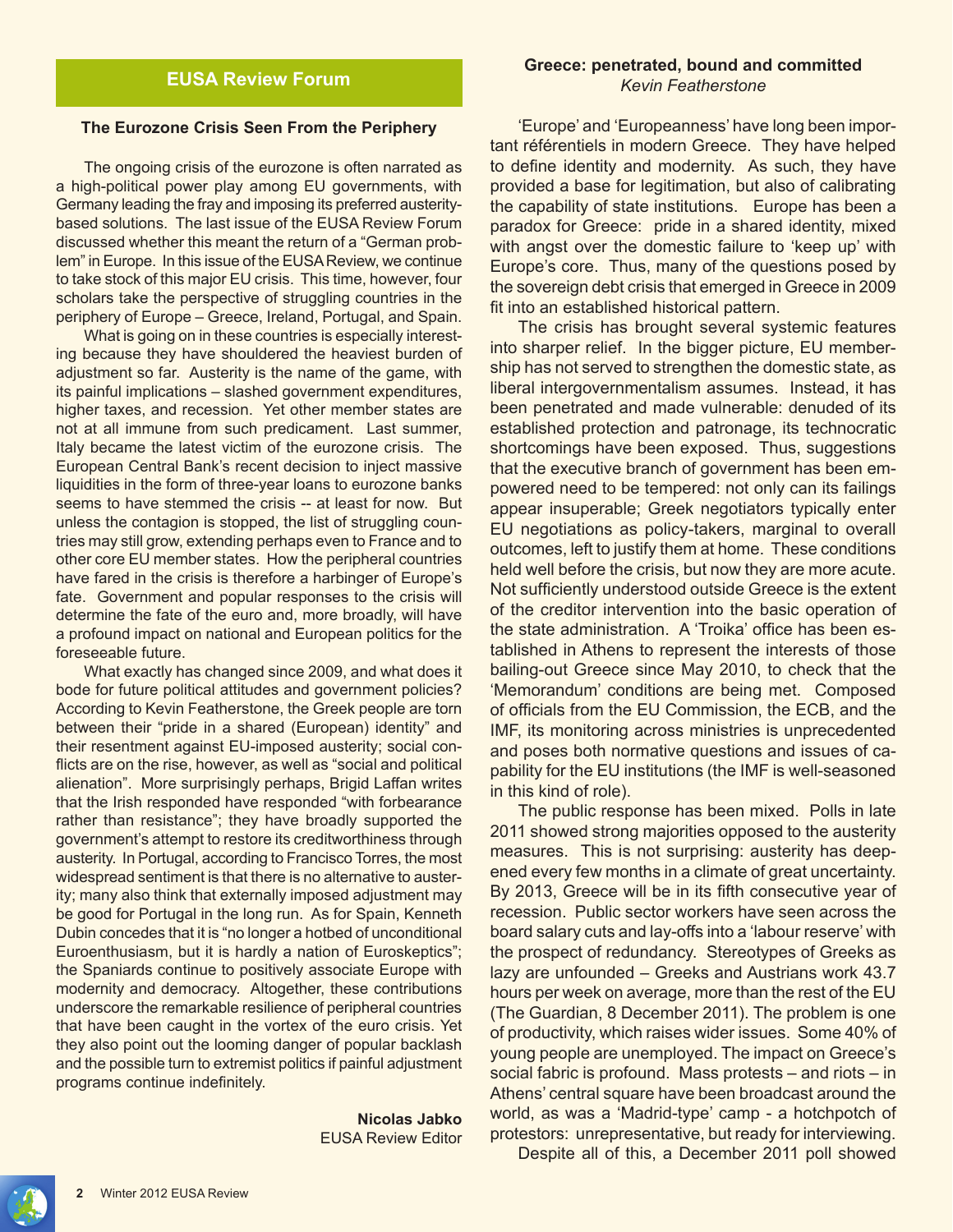#### **The Eurozone Crisis Seen From the Periphery**

The ongoing crisis of the eurozone is often narrated as a high-political power play among EU governments, with Germany leading the fray and imposing its preferred austeritybased solutions. The last issue of the EUSA Review Forum discussed whether this meant the return of a "German problem" in Europe. In this issue of the EUSA Review, we continue to take stock of this major EU crisis. This time, however, four scholars take the perspective of struggling countries in the periphery of Europe – Greece, Ireland, Portugal, and Spain.

What is going on in these countries is especially interesting because they have shouldered the heaviest burden of adjustment so far. Austerity is the name of the game, with its painful implications – slashed government expenditures, higher taxes, and recession. Yet other member states are not at all immune from such predicament. Last summer, Italy became the latest victim of the eurozone crisis. The European Central Bank's recent decision to inject massive liquidities in the form of three-year loans to eurozone banks seems to have stemmed the crisis -- at least for now. But unless the contagion is stopped, the list of struggling countries may still grow, extending perhaps even to France and to other core EU member states. How the peripheral countries have fared in the crisis is therefore a harbinger of Europe's fate. Government and popular responses to the crisis will determine the fate of the euro and, more broadly, will have a profound impact on national and European politics for the foreseeable future.

What exactly has changed since 2009, and what does it bode for future political attitudes and government policies? According to Kevin Featherstone, the Greek people are torn between their "pride in a shared (European) identity" and their resentment against EU-imposed austerity; social conflicts are on the rise, however, as well as "social and political alienation". More surprisingly perhaps, Brigid Laffan writes that the Irish responded have responded "with forbearance rather than resistance"; they have broadly supported the government's attempt to restore its creditworthiness through austerity. In Portugal, according to Francisco Torres, the most widespread sentiment is that there is no alternative to austerity; many also think that externally imposed adjustment may be good for Portugal in the long run. As for Spain, Kenneth Dubin concedes that it is "no longer a hotbed of unconditional Euroenthusiasm, but it is hardly a nation of Euroskeptics"; the Spaniards continue to positively associate Europe with modernity and democracy. Altogether, these contributions underscore the remarkable resilience of peripheral countries that have been caught in the vortex of the euro crisis. Yet they also point out the looming danger of popular backlash and the possible turn to extremist politics if painful adjustment programs continue indefinitely.

> **Nicolas Jabko** EUSA Review Editor

#### **Greece: penetrated, bound and committed** *Kevin Featherstone*

'Europe' and 'Europeanness' have long been important référentiels in modern Greece. They have helped to define identity and modernity. As such, they have provided a base for legitimation, but also of calibrating the capability of state institutions. Europe has been a paradox for Greece: pride in a shared identity, mixed with angst over the domestic failure to 'keep up' with Europe's core. Thus, many of the questions posed by the sovereign debt crisis that emerged in Greece in 2009 fit into an established historical pattern.

The crisis has brought several systemic features into sharper relief. In the bigger picture, EU membership has not served to strengthen the domestic state, as liberal intergovernmentalism assumes. Instead, it has been penetrated and made vulnerable: denuded of its established protection and patronage, its technocratic shortcomings have been exposed. Thus, suggestions that the executive branch of government has been empowered need to be tempered: not only can its failings appear insuperable; Greek negotiators typically enter EU negotiations as policy-takers, marginal to overall outcomes, left to justify them at home. These conditions held well before the crisis, but now they are more acute. Not sufficiently understood outside Greece is the extent of the creditor intervention into the basic operation of the state administration. A 'Troika' office has been established in Athens to represent the interests of those bailing-out Greece since May 2010, to check that the 'Memorandum' conditions are being met. Composed of officials from the EU Commission, the ECB, and the IMF, its monitoring across ministries is unprecedented and poses both normative questions and issues of capability for the EU institutions (the IMF is well-seasoned in this kind of role).

The public response has been mixed. Polls in late 2011 showed strong majorities opposed to the austerity measures. This is not surprising: austerity has deepened every few months in a climate of great uncertainty. By 2013, Greece will be in its fifth consecutive year of recession. Public sector workers have seen across the board salary cuts and lay-offs into a 'labour reserve' with the prospect of redundancy. Stereotypes of Greeks as lazy are unfounded – Greeks and Austrians work 43.7 hours per week on average, more than the rest of the EU (The Guardian, 8 December 2011). The problem is one of productivity, which raises wider issues. Some 40% of young people are unemployed. The impact on Greece's social fabric is profound. Mass protests – and riots – in Athens' central square have been broadcast around the world, as was a 'Madrid-type' camp - a hotchpotch of protestors: unrepresentative, but ready for interviewing.

Despite all of this, a December 2011 poll showed

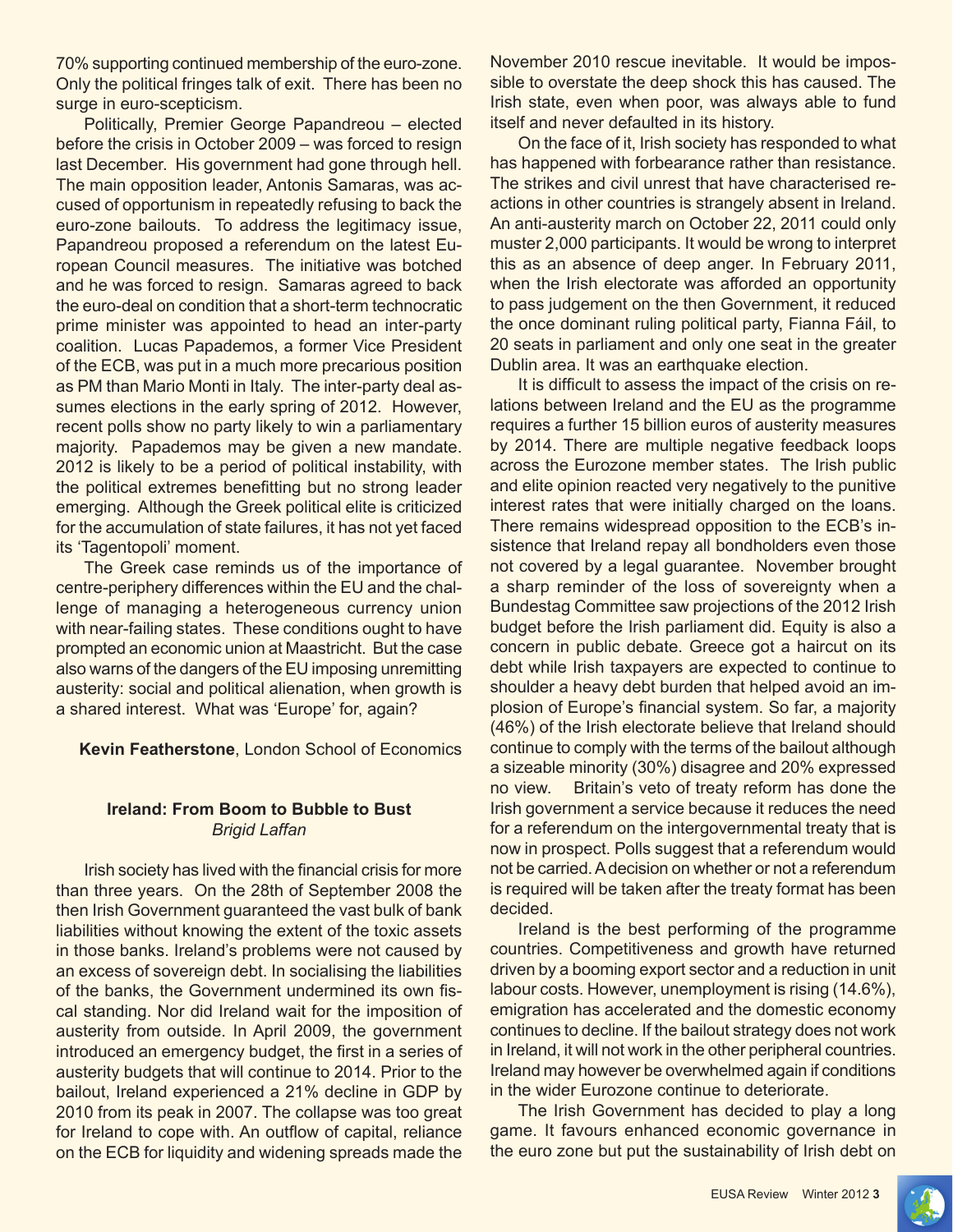70% supporting continued membership of the euro-zone. Only the political fringes talk of exit. There has been no surge in euro-scepticism.

Politically, Premier George Papandreou – elected before the crisis in October 2009 – was forced to resign last December. His government had gone through hell. The main opposition leader, Antonis Samaras, was accused of opportunism in repeatedly refusing to back the euro-zone bailouts. To address the legitimacy issue, Papandreou proposed a referendum on the latest European Council measures. The initiative was botched and he was forced to resign. Samaras agreed to back the euro-deal on condition that a short-term technocratic prime minister was appointed to head an inter-party coalition. Lucas Papademos, a former Vice President of the ECB, was put in a much more precarious position as PM than Mario Monti in Italy. The inter-party deal assumes elections in the early spring of 2012. However, recent polls show no party likely to win a parliamentary majority. Papademos may be given a new mandate. 2012 is likely to be a period of political instability, with the political extremes benefitting but no strong leader emerging. Although the Greek political elite is criticized for the accumulation of state failures, it has not yet faced its 'Tagentopoli' moment.

The Greek case reminds us of the importance of centre-periphery differences within the EU and the challenge of managing a heterogeneous currency union with near-failing states. These conditions ought to have prompted an economic union at Maastricht. But the case also warns of the dangers of the EU imposing unremitting austerity: social and political alienation, when growth is a shared interest. What was 'Europe' for, again?

**Kevin Featherstone**, London School of Economics

#### **Ireland: From Boom to Bubble to Bust** *Brigid Laffan*

Irish society has lived with the financial crisis for more than three years. On the 28th of September 2008 the then Irish Government guaranteed the vast bulk of bank liabilities without knowing the extent of the toxic assets in those banks. Ireland's problems were not caused by an excess of sovereign debt. In socialising the liabilities of the banks, the Government undermined its own fiscal standing. Nor did Ireland wait for the imposition of austerity from outside. In April 2009, the government introduced an emergency budget, the first in a series of austerity budgets that will continue to 2014. Prior to the bailout, Ireland experienced a 21% decline in GDP by 2010 from its peak in 2007. The collapse was too great for Ireland to cope with. An outflow of capital, reliance on the ECB for liquidity and widening spreads made the

November 2010 rescue inevitable. It would be impossible to overstate the deep shock this has caused. The Irish state, even when poor, was always able to fund itself and never defaulted in its history.

On the face of it, Irish society has responded to what has happened with forbearance rather than resistance. The strikes and civil unrest that have characterised reactions in other countries is strangely absent in Ireland. An anti-austerity march on October 22, 2011 could only muster 2,000 participants. It would be wrong to interpret this as an absence of deep anger. In February 2011, when the Irish electorate was afforded an opportunity to pass judgement on the then Government, it reduced the once dominant ruling political party, Fianna Fáil, to 20 seats in parliament and only one seat in the greater Dublin area. It was an earthquake election.

It is difficult to assess the impact of the crisis on relations between Ireland and the EU as the programme requires a further 15 billion euros of austerity measures by 2014. There are multiple negative feedback loops across the Eurozone member states. The Irish public and elite opinion reacted very negatively to the punitive interest rates that were initially charged on the loans. There remains widespread opposition to the ECB's insistence that Ireland repay all bondholders even those not covered by a legal guarantee. November brought a sharp reminder of the loss of sovereignty when a Bundestag Committee saw projections of the 2012 Irish budget before the Irish parliament did. Equity is also a concern in public debate. Greece got a haircut on its debt while Irish taxpayers are expected to continue to shoulder a heavy debt burden that helped avoid an implosion of Europe's financial system. So far, a majority (46%) of the Irish electorate believe that Ireland should continue to comply with the terms of the bailout although a sizeable minority (30%) disagree and 20% expressed no view. Britain's veto of treaty reform has done the Irish government a service because it reduces the need for a referendum on the intergovernmental treaty that is now in prospect. Polls suggest that a referendum would not be carried. A decision on whether or not a referendum is required will be taken after the treaty format has been decided.

Ireland is the best performing of the programme countries. Competitiveness and growth have returned driven by a booming export sector and a reduction in unit labour costs. However, unemployment is rising (14.6%), emigration has accelerated and the domestic economy continues to decline. If the bailout strategy does not work in Ireland, it will not work in the other peripheral countries. Ireland may however be overwhelmed again if conditions in the wider Eurozone continue to deteriorate.

The Irish Government has decided to play a long game. It favours enhanced economic governance in the euro zone but put the sustainability of Irish debt on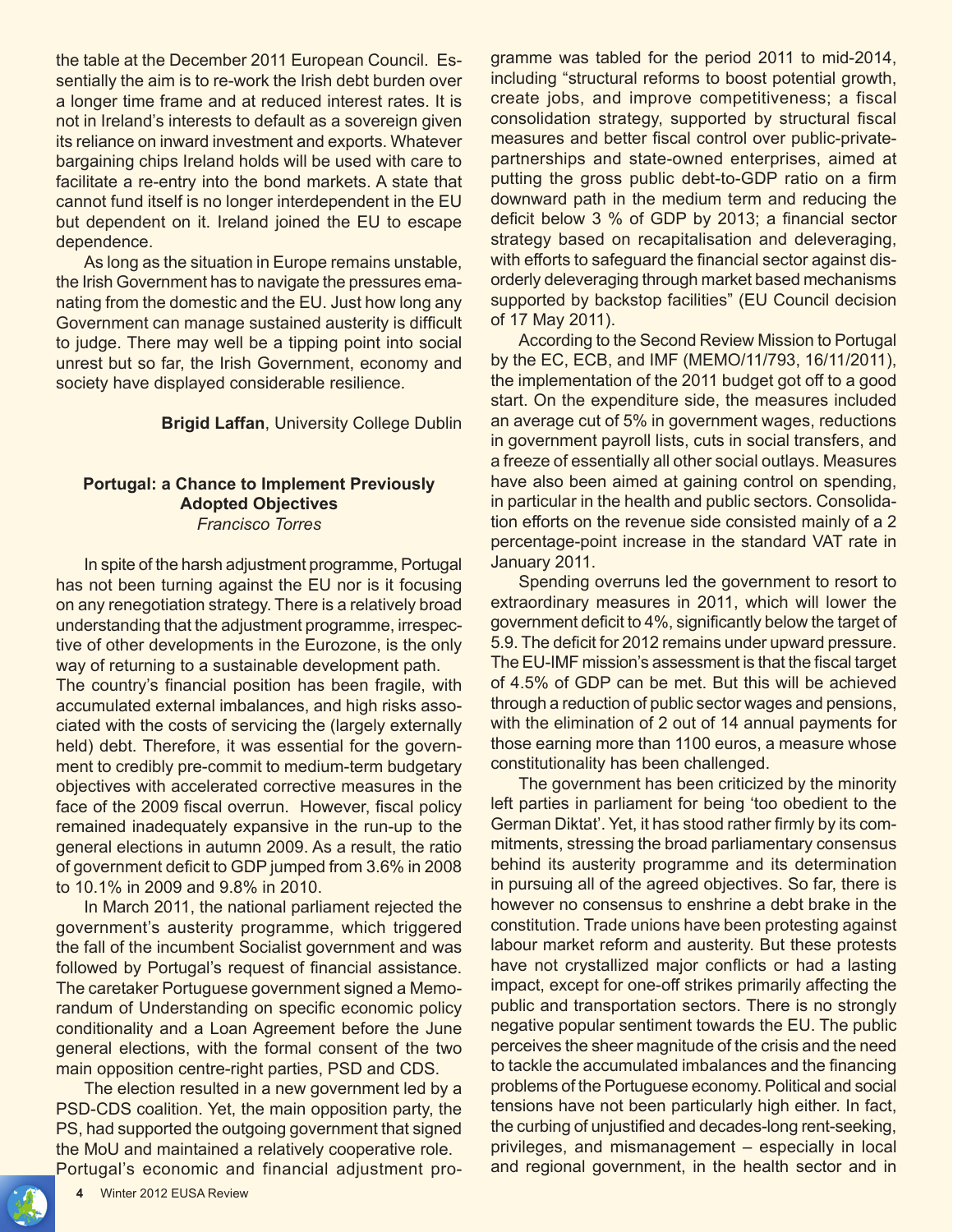the table at the December 2011 European Council. Essentially the aim is to re-work the Irish debt burden over a longer time frame and at reduced interest rates. It is not in Ireland's interests to default as a sovereign given its reliance on inward investment and exports. Whatever bargaining chips Ireland holds will be used with care to facilitate a re-entry into the bond markets. A state that cannot fund itself is no longer interdependent in the EU but dependent on it. Ireland joined the EU to escape dependence.

As long as the situation in Europe remains unstable, the Irish Government has to navigate the pressures emanating from the domestic and the EU. Just how long any Government can manage sustained austerity is difficult to judge. There may well be a tipping point into social unrest but so far, the Irish Government, economy and society have displayed considerable resilience.

**Brigid Laffan**, University College Dublin

#### **Portugal: a Chance to Implement Previously Adopted Objectives** *Francisco Torres*

In spite of the harsh adjustment programme, Portugal has not been turning against the EU nor is it focusing on any renegotiation strategy. There is a relatively broad understanding that the adjustment programme, irrespective of other developments in the Eurozone, is the only way of returning to a sustainable development path.

The country's financial position has been fragile, with accumulated external imbalances, and high risks associated with the costs of servicing the (largely externally held) debt. Therefore, it was essential for the government to credibly pre-commit to medium-term budgetary objectives with accelerated corrective measures in the face of the 2009 fiscal overrun. However, fiscal policy remained inadequately expansive in the run-up to the general elections in autumn 2009. As a result, the ratio of government deficit to GDP jumped from 3.6% in 2008 to 10.1% in 2009 and 9.8% in 2010.

In March 2011, the national parliament rejected the government's austerity programme, which triggered the fall of the incumbent Socialist government and was followed by Portugal's request of financial assistance. The caretaker Portuguese government signed a Memorandum of Understanding on specific economic policy conditionality and a Loan Agreement before the June general elections, with the formal consent of the two main opposition centre-right parties, PSD and CDS.

The election resulted in a new government led by a PSD-CDS coalition. Yet, the main opposition party, the PS, had supported the outgoing government that signed the MoU and maintained a relatively cooperative role. Portugal's economic and financial adjustment pro-

gramme was tabled for the period 2011 to mid-2014, including "structural reforms to boost potential growth, create jobs, and improve competitiveness; a fiscal consolidation strategy, supported by structural fiscal measures and better fiscal control over public-privatepartnerships and state-owned enterprises, aimed at putting the gross public debt-to-GDP ratio on a firm downward path in the medium term and reducing the deficit below 3 % of GDP by 2013; a financial sector strategy based on recapitalisation and deleveraging, with efforts to safeguard the financial sector against disorderly deleveraging through market based mechanisms supported by backstop facilities" (EU Council decision of 17 May 2011).

According to the Second Review Mission to Portugal by the EC, ECB, and IMF (MEMO/11/793, 16/11/2011), the implementation of the 2011 budget got off to a good start. On the expenditure side, the measures included an average cut of 5% in government wages, reductions in government payroll lists, cuts in social transfers, and a freeze of essentially all other social outlays. Measures have also been aimed at gaining control on spending, in particular in the health and public sectors. Consolidation efforts on the revenue side consisted mainly of a 2 percentage-point increase in the standard VAT rate in January 2011.

Spending overruns led the government to resort to extraordinary measures in 2011, which will lower the government deficit to 4%, significantly below the target of 5.9. The deficit for 2012 remains under upward pressure. The EU-IMF mission's assessment is that the fiscal target of 4.5% of GDP can be met. But this will be achieved through a reduction of public sector wages and pensions, with the elimination of 2 out of 14 annual payments for those earning more than 1100 euros, a measure whose constitutionality has been challenged.

The government has been criticized by the minority left parties in parliament for being 'too obedient to the German Diktat'. Yet, it has stood rather firmly by its commitments, stressing the broad parliamentary consensus behind its austerity programme and its determination in pursuing all of the agreed objectives. So far, there is however no consensus to enshrine a debt brake in the constitution. Trade unions have been protesting against labour market reform and austerity. But these protests have not crystallized major conflicts or had a lasting impact, except for one-off strikes primarily affecting the public and transportation sectors. There is no strongly negative popular sentiment towards the EU. The public perceives the sheer magnitude of the crisis and the need to tackle the accumulated imbalances and the financing problems of the Portuguese economy. Political and social tensions have not been particularly high either. In fact, the curbing of unjustified and decades-long rent-seeking, privileges, and mismanagement – especially in local and regional government, in the health sector and in

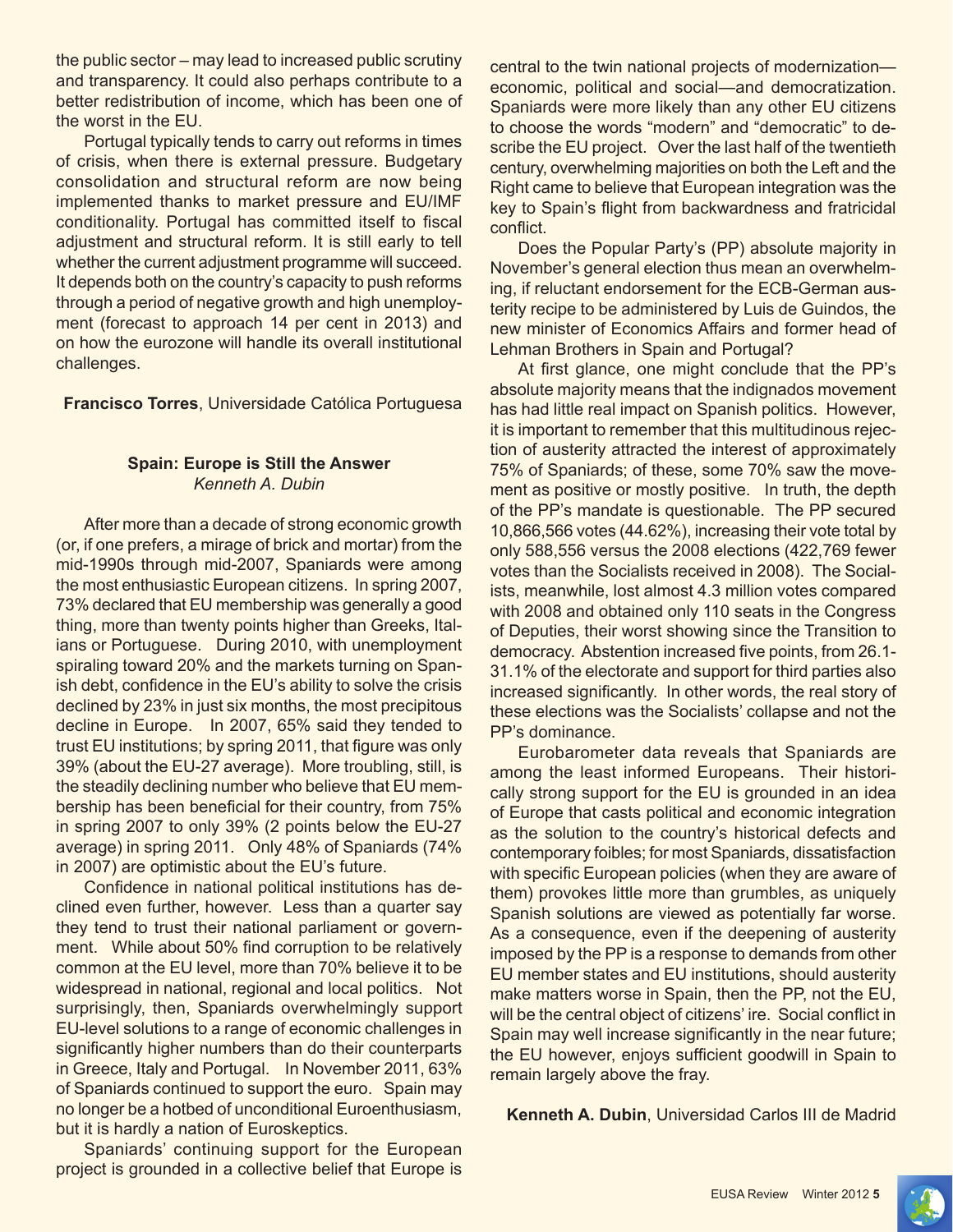the public sector – may lead to increased public scrutiny and transparency. It could also perhaps contribute to a better redistribution of income, which has been one of the worst in the EU.

Portugal typically tends to carry out reforms in times of crisis, when there is external pressure. Budgetary consolidation and structural reform are now being implemented thanks to market pressure and EU/IMF conditionality. Portugal has committed itself to fiscal adjustment and structural reform. It is still early to tell whether the current adjustment programme will succeed. It depends both on the country's capacity to push reforms through a period of negative growth and high unemployment (forecast to approach 14 per cent in 2013) and on how the eurozone will handle its overall institutional challenges.

**Francisco Torres**, Universidade Católica Portuguesa

# **Spain: Europe is Still the Answer** *Kenneth A. Dubin*

After more than a decade of strong economic growth (or, if one prefers, a mirage of brick and mortar) from the mid-1990s through mid-2007, Spaniards were among the most enthusiastic European citizens. In spring 2007, 73% declared that EU membership was generally a good thing, more than twenty points higher than Greeks, Italians or Portuguese. During 2010, with unemployment spiraling toward 20% and the markets turning on Spanish debt, confidence in the EU's ability to solve the crisis declined by 23% in just six months, the most precipitous decline in Europe. In 2007, 65% said they tended to trust EU institutions; by spring 2011, that figure was only 39% (about the EU-27 average). More troubling, still, is the steadily declining number who believe that EU membership has been beneficial for their country, from 75% in spring 2007 to only 39% (2 points below the EU-27 average) in spring 2011. Only 48% of Spaniards (74% in 2007) are optimistic about the EU's future.

Confidence in national political institutions has declined even further, however. Less than a quarter say they tend to trust their national parliament or government. While about 50% find corruption to be relatively common at the EU level, more than 70% believe it to be widespread in national, regional and local politics. Not surprisingly, then, Spaniards overwhelmingly support EU-level solutions to a range of economic challenges in significantly higher numbers than do their counterparts in Greece, Italy and Portugal. In November 2011, 63% of Spaniards continued to support the euro. Spain may no longer be a hotbed of unconditional Euroenthusiasm, but it is hardly a nation of Euroskeptics.

Spaniards' continuing support for the European project is grounded in a collective belief that Europe is central to the twin national projects of modernization economic, political and social—and democratization. Spaniards were more likely than any other EU citizens to choose the words "modern" and "democratic" to describe the EU project. Over the last half of the twentieth century, overwhelming majorities on both the Left and the Right came to believe that European integration was the key to Spain's flight from backwardness and fratricidal conflict.

Does the Popular Party's (PP) absolute majority in November's general election thus mean an overwhelming, if reluctant endorsement for the ECB-German austerity recipe to be administered by Luis de Guindos, the new minister of Economics Affairs and former head of Lehman Brothers in Spain and Portugal?

At first glance, one might conclude that the PP's absolute majority means that the indignados movement has had little real impact on Spanish politics. However, it is important to remember that this multitudinous rejection of austerity attracted the interest of approximately 75% of Spaniards; of these, some 70% saw the movement as positive or mostly positive. In truth, the depth of the PP's mandate is questionable. The PP secured 10,866,566 votes (44.62%), increasing their vote total by only 588,556 versus the 2008 elections (422,769 fewer votes than the Socialists received in 2008). The Socialists, meanwhile, lost almost 4.3 million votes compared with 2008 and obtained only 110 seats in the Congress of Deputies, their worst showing since the Transition to democracy. Abstention increased five points, from 26.1- 31.1% of the electorate and support for third parties also increased significantly. In other words, the real story of these elections was the Socialists' collapse and not the PP's dominance.

Eurobarometer data reveals that Spaniards are among the least informed Europeans. Their historically strong support for the EU is grounded in an idea of Europe that casts political and economic integration as the solution to the country's historical defects and contemporary foibles; for most Spaniards, dissatisfaction with specific European policies (when they are aware of them) provokes little more than grumbles, as uniquely Spanish solutions are viewed as potentially far worse. As a consequence, even if the deepening of austerity imposed by the PP is a response to demands from other EU member states and EU institutions, should austerity make matters worse in Spain, then the PP, not the EU, will be the central object of citizens' ire. Social conflict in Spain may well increase significantly in the near future; the EU however, enjoys sufficient goodwill in Spain to remain largely above the fray.

**Kenneth A. Dubin**, Universidad Carlos III de Madrid

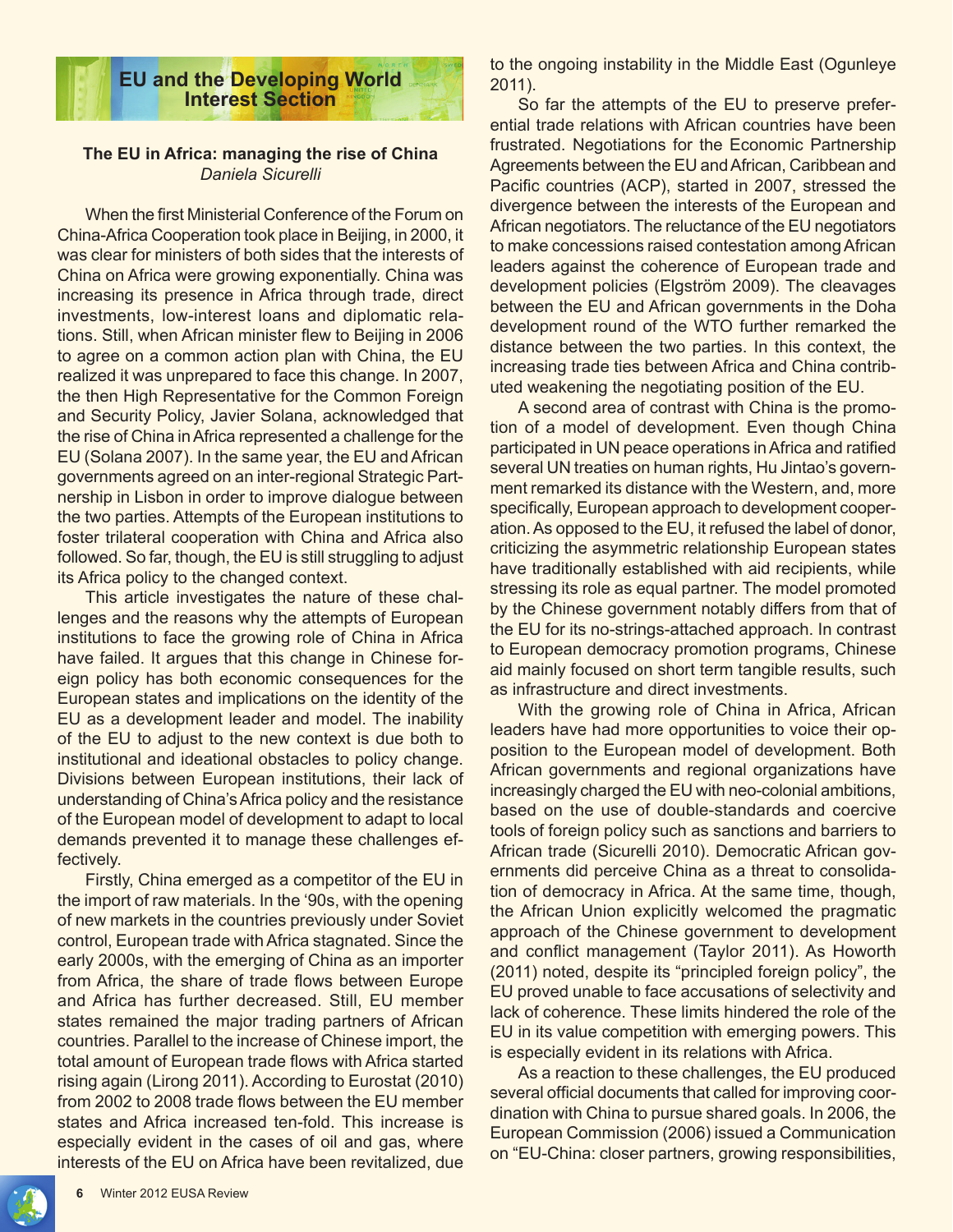

## **The EU in Africa: managing the rise of China** *Daniela Sicurelli*

When the first Ministerial Conference of the Forum on China-Africa Cooperation took place in Beijing, in 2000, it was clear for ministers of both sides that the interests of China on Africa were growing exponentially. China was increasing its presence in Africa through trade, direct investments, low-interest loans and diplomatic relations. Still, when African minister flew to Beijing in 2006 to agree on a common action plan with China, the EU realized it was unprepared to face this change. In 2007, the then High Representative for the Common Foreign and Security Policy, Javier Solana, acknowledged that the rise of China in Africa represented a challenge for the EU (Solana 2007). In the same year, the EU and African governments agreed on an inter-regional Strategic Partnership in Lisbon in order to improve dialogue between the two parties. Attempts of the European institutions to foster trilateral cooperation with China and Africa also followed. So far, though, the EU is still struggling to adjust its Africa policy to the changed context.

This article investigates the nature of these challenges and the reasons why the attempts of European institutions to face the growing role of China in Africa have failed. It argues that this change in Chinese foreign policy has both economic consequences for the European states and implications on the identity of the EU as a development leader and model. The inability of the EU to adjust to the new context is due both to institutional and ideational obstacles to policy change. Divisions between European institutions, their lack of understanding of China's Africa policy and the resistance of the European model of development to adapt to local demands prevented it to manage these challenges effectively.

Firstly, China emerged as a competitor of the EU in the import of raw materials. In the '90s, with the opening of new markets in the countries previously under Soviet control, European trade with Africa stagnated. Since the early 2000s, with the emerging of China as an importer from Africa, the share of trade flows between Europe and Africa has further decreased. Still, EU member states remained the major trading partners of African countries. Parallel to the increase of Chinese import, the total amount of European trade flows with Africa started rising again (Lirong 2011). According to Eurostat (2010) from 2002 to 2008 trade flows between the EU member states and Africa increased ten-fold. This increase is especially evident in the cases of oil and gas, where interests of the EU on Africa have been revitalized, due

to the ongoing instability in the Middle East (Ogunleye 2011).

So far the attempts of the EU to preserve preferential trade relations with African countries have been frustrated. Negotiations for the Economic Partnership Agreements between the EU and African, Caribbean and Pacific countries (ACP), started in 2007, stressed the divergence between the interests of the European and African negotiators. The reluctance of the EU negotiators to make concessions raised contestation among African leaders against the coherence of European trade and development policies (Elgström 2009). The cleavages between the EU and African governments in the Doha development round of the WTO further remarked the distance between the two parties. In this context, the increasing trade ties between Africa and China contributed weakening the negotiating position of the EU.

A second area of contrast with China is the promotion of a model of development. Even though China participated in UN peace operations in Africa and ratified several UN treaties on human rights, Hu Jintao's government remarked its distance with the Western, and, more specifically, European approach to development cooperation. As opposed to the EU, it refused the label of donor, criticizing the asymmetric relationship European states have traditionally established with aid recipients, while stressing its role as equal partner. The model promoted by the Chinese government notably differs from that of the EU for its no-strings-attached approach. In contrast to European democracy promotion programs, Chinese aid mainly focused on short term tangible results, such as infrastructure and direct investments.

With the growing role of China in Africa, African leaders have had more opportunities to voice their opposition to the European model of development. Both African governments and regional organizations have increasingly charged the EU with neo-colonial ambitions, based on the use of double-standards and coercive tools of foreign policy such as sanctions and barriers to African trade (Sicurelli 2010). Democratic African governments did perceive China as a threat to consolidation of democracy in Africa. At the same time, though, the African Union explicitly welcomed the pragmatic approach of the Chinese government to development and conflict management (Taylor 2011). As Howorth (2011) noted, despite its "principled foreign policy", the EU proved unable to face accusations of selectivity and lack of coherence. These limits hindered the role of the EU in its value competition with emerging powers. This is especially evident in its relations with Africa.

As a reaction to these challenges, the EU produced several official documents that called for improving coordination with China to pursue shared goals. In 2006, the European Commission (2006) issued a Communication on "EU-China: closer partners, growing responsibilities,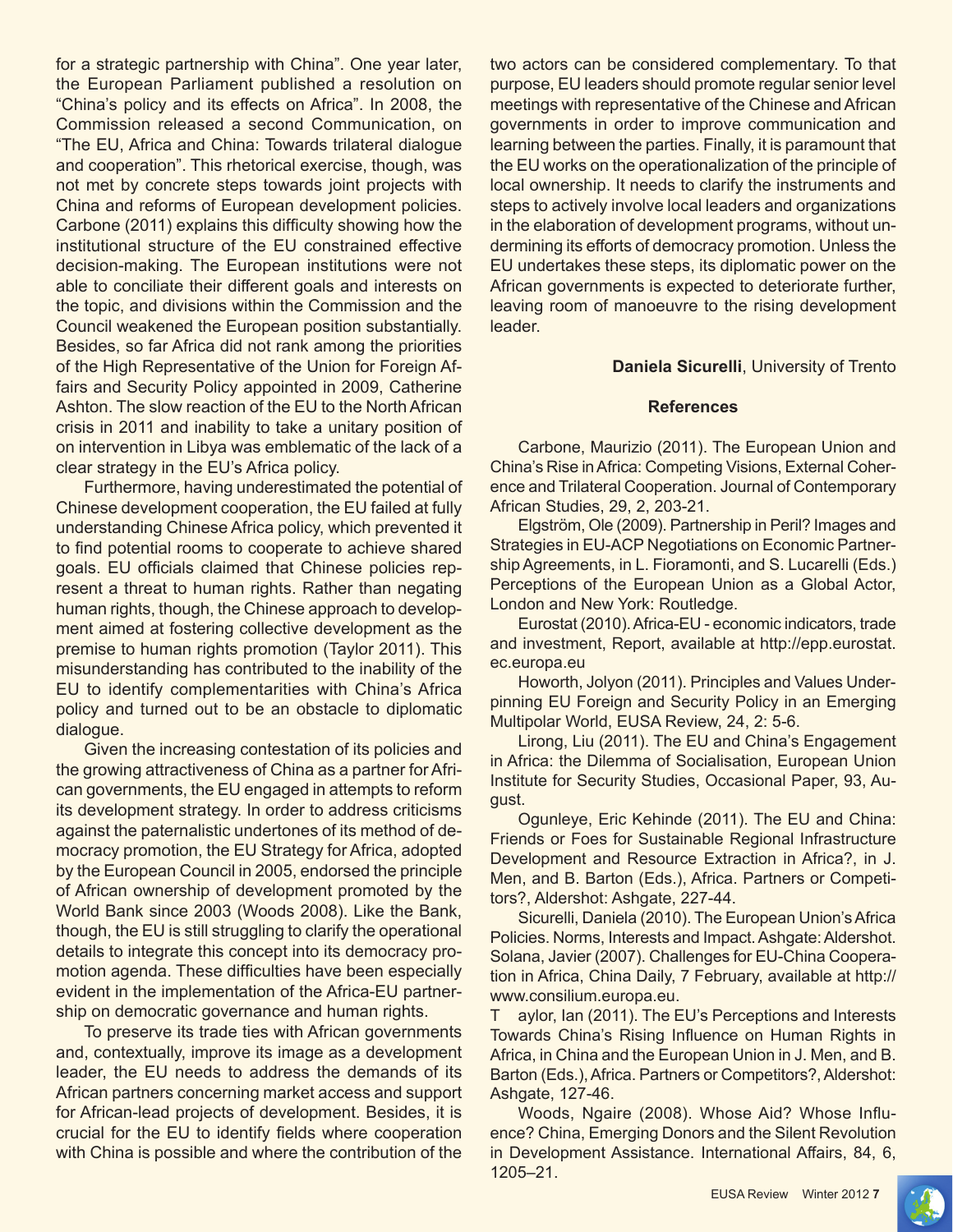for a strategic partnership with China". One year later, the European Parliament published a resolution on "China's policy and its effects on Africa". In 2008, the Commission released a second Communication, on "The EU, Africa and China: Towards trilateral dialogue and cooperation". This rhetorical exercise, though, was not met by concrete steps towards joint projects with China and reforms of European development policies. Carbone (2011) explains this difficulty showing how the institutional structure of the EU constrained effective decision-making. The European institutions were not able to conciliate their different goals and interests on the topic, and divisions within the Commission and the Council weakened the European position substantially. Besides, so far Africa did not rank among the priorities of the High Representative of the Union for Foreign Affairs and Security Policy appointed in 2009, Catherine Ashton. The slow reaction of the EU to the North African crisis in 2011 and inability to take a unitary position of on intervention in Libya was emblematic of the lack of a clear strategy in the EU's Africa policy.

Furthermore, having underestimated the potential of Chinese development cooperation, the EU failed at fully understanding Chinese Africa policy, which prevented it to find potential rooms to cooperate to achieve shared goals. EU officials claimed that Chinese policies represent a threat to human rights. Rather than negating human rights, though, the Chinese approach to development aimed at fostering collective development as the premise to human rights promotion (Taylor 2011). This misunderstanding has contributed to the inability of the EU to identify complementarities with China's Africa policy and turned out to be an obstacle to diplomatic dialogue.

Given the increasing contestation of its policies and the growing attractiveness of China as a partner for African governments, the EU engaged in attempts to reform its development strategy. In order to address criticisms against the paternalistic undertones of its method of democracy promotion, the EU Strategy for Africa, adopted by the European Council in 2005, endorsed the principle of African ownership of development promoted by the World Bank since 2003 (Woods 2008). Like the Bank, though, the EU is still struggling to clarify the operational details to integrate this concept into its democracy promotion agenda. These difficulties have been especially evident in the implementation of the Africa-EU partnership on democratic governance and human rights.

To preserve its trade ties with African governments and, contextually, improve its image as a development leader, the EU needs to address the demands of its African partners concerning market access and support for African-lead projects of development. Besides, it is crucial for the EU to identify fields where cooperation with China is possible and where the contribution of the

two actors can be considered complementary. To that purpose, EU leaders should promote regular senior level meetings with representative of the Chinese and African governments in order to improve communication and learning between the parties. Finally, it is paramount that the EU works on the operationalization of the principle of local ownership. It needs to clarify the instruments and steps to actively involve local leaders and organizations in the elaboration of development programs, without undermining its efforts of democracy promotion. Unless the EU undertakes these steps, its diplomatic power on the African governments is expected to deteriorate further, leaving room of manoeuvre to the rising development leader.

#### **Daniela Sicurelli**, University of Trento

#### **References**

Carbone, Maurizio (2011). The European Union and China's Rise in Africa: Competing Visions, External Coherence and Trilateral Cooperation. Journal of Contemporary African Studies, 29, 2, 203-21.

Elgström, Ole (2009). Partnership in Peril? Images and Strategies in EU-ACP Negotiations on Economic Partnership Agreements, in L. Fioramonti, and S. Lucarelli (Eds.) Perceptions of the European Union as a Global Actor, London and New York: Routledge.

Eurostat (2010). Africa-EU - economic indicators, trade and investment, Report, available at http://epp.eurostat. ec.europa.eu

Howorth, Jolyon (2011). Principles and Values Underpinning EU Foreign and Security Policy in an Emerging Multipolar World, EUSA Review, 24, 2: 5-6.

Lirong, Liu (2011). The EU and China's Engagement in Africa: the Dilemma of Socialisation, European Union Institute for Security Studies, Occasional Paper, 93, August.

Ogunleye, Eric Kehinde (2011). The EU and China: Friends or Foes for Sustainable Regional Infrastructure Development and Resource Extraction in Africa?, in J. Men, and B. Barton (Eds.), Africa. Partners or Competitors?, Aldershot: Ashgate, 227-44.

Sicurelli, Daniela (2010). The European Union's Africa Policies. Norms, Interests and Impact. Ashgate: Aldershot. Solana, Javier (2007). Challenges for EU-China Cooperation in Africa, China Daily, 7 February, available at http:// www.consilium.europa.eu.

T aylor, Ian (2011). The EU's Perceptions and Interests Towards China's Rising Influence on Human Rights in Africa, in China and the European Union in J. Men, and B. Barton (Eds.), Africa. Partners or Competitors?, Aldershot: Ashgate, 127-46.

Woods, Ngaire (2008). Whose Aid? Whose Influence? China, Emerging Donors and the Silent Revolution in Development Assistance. International Affairs, 84, 6, 1205–21.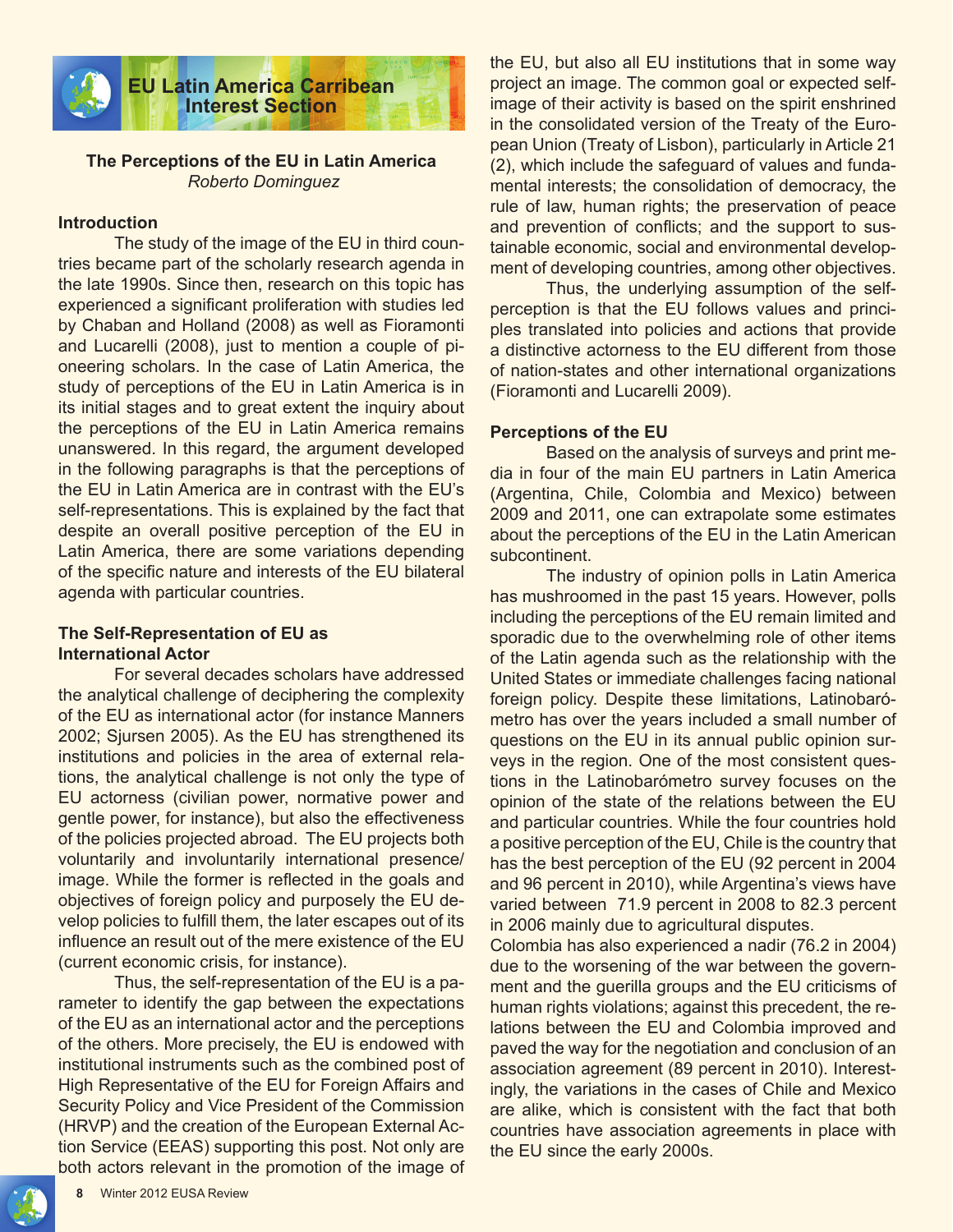

# **The Perceptions of the EU in Latin America** *Roberto Dominguez*

#### **Introduction**

The study of the image of the EU in third countries became part of the scholarly research agenda in the late 1990s. Since then, research on this topic has experienced a significant proliferation with studies led by Chaban and Holland (2008) as well as Fioramonti and Lucarelli (2008), just to mention a couple of pioneering scholars. In the case of Latin America, the study of perceptions of the EU in Latin America is in its initial stages and to great extent the inquiry about the perceptions of the EU in Latin America remains unanswered. In this regard, the argument developed in the following paragraphs is that the perceptions of the EU in Latin America are in contrast with the EU's self-representations. This is explained by the fact that despite an overall positive perception of the EU in Latin America, there are some variations depending of the specific nature and interests of the EU bilateral agenda with particular countries.

#### **The Self-Representation of EU as International Actor**

For several decades scholars have addressed the analytical challenge of deciphering the complexity of the EU as international actor (for instance Manners 2002; Sjursen 2005). As the EU has strengthened its institutions and policies in the area of external relations, the analytical challenge is not only the type of EU actorness (civilian power, normative power and gentle power, for instance), but also the effectiveness of the policies projected abroad. The EU projects both voluntarily and involuntarily international presence/ image. While the former is reflected in the goals and objectives of foreign policy and purposely the EU develop policies to fulfill them, the later escapes out of its influence an result out of the mere existence of the EU (current economic crisis, for instance).

Thus, the self-representation of the EU is a parameter to identify the gap between the expectations of the EU as an international actor and the perceptions of the others. More precisely, the EU is endowed with institutional instruments such as the combined post of High Representative of the EU for Foreign Affairs and Security Policy and Vice President of the Commission (HRVP) and the creation of the European External Action Service (EEAS) supporting this post. Not only are both actors relevant in the promotion of the image of the EU, but also all EU institutions that in some way project an image. The common goal or expected selfimage of their activity is based on the spirit enshrined in the consolidated version of the Treaty of the European Union (Treaty of Lisbon), particularly in Article 21 (2), which include the safeguard of values and fundamental interests; the consolidation of democracy, the rule of law, human rights; the preservation of peace and prevention of conflicts; and the support to sustainable economic, social and environmental development of developing countries, among other objectives.

Thus, the underlying assumption of the selfperception is that the EU follows values and principles translated into policies and actions that provide a distinctive actorness to the EU different from those of nation-states and other international organizations (Fioramonti and Lucarelli 2009).

#### **Perceptions of the EU**

Based on the analysis of surveys and print media in four of the main EU partners in Latin America (Argentina, Chile, Colombia and Mexico) between 2009 and 2011, one can extrapolate some estimates about the perceptions of the EU in the Latin American subcontinent.

The industry of opinion polls in Latin America has mushroomed in the past 15 years. However, polls including the perceptions of the EU remain limited and sporadic due to the overwhelming role of other items of the Latin agenda such as the relationship with the United States or immediate challenges facing national foreign policy. Despite these limitations, Latinobarómetro has over the years included a small number of questions on the EU in its annual public opinion surveys in the region. One of the most consistent questions in the Latinobarómetro survey focuses on the opinion of the state of the relations between the EU and particular countries. While the four countries hold a positive perception of the EU, Chile is the country that has the best perception of the EU (92 percent in 2004 and 96 percent in 2010), while Argentina's views have varied between 71.9 percent in 2008 to 82.3 percent in 2006 mainly due to agricultural disputes.

Colombia has also experienced a nadir (76.2 in 2004) due to the worsening of the war between the government and the guerilla groups and the EU criticisms of human rights violations; against this precedent, the relations between the EU and Colombia improved and paved the way for the negotiation and conclusion of an association agreement (89 percent in 2010). Interestingly, the variations in the cases of Chile and Mexico are alike, which is consistent with the fact that both countries have association agreements in place with the EU since the early 2000s.

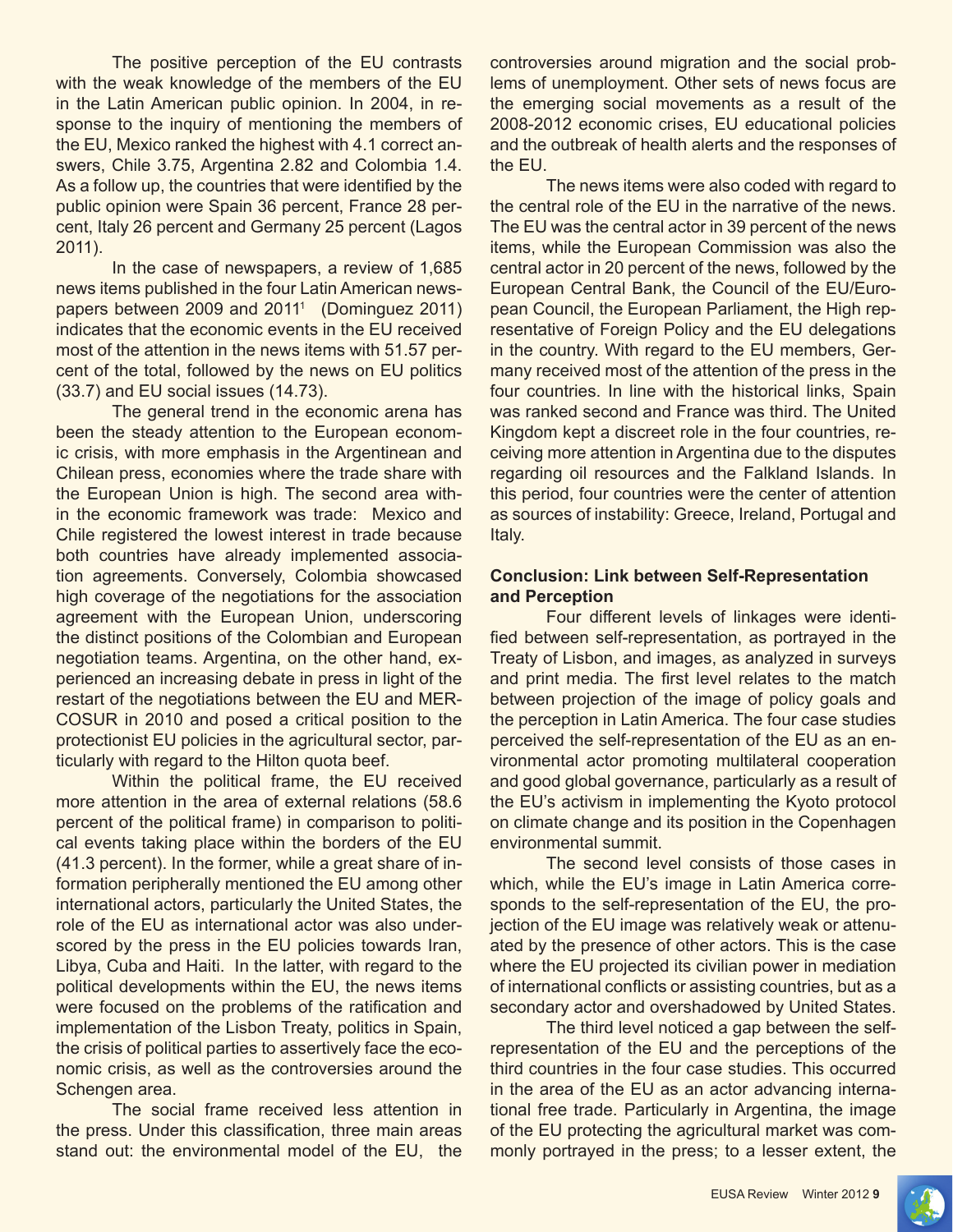The positive perception of the EU contrasts with the weak knowledge of the members of the EU in the Latin American public opinion. In 2004, in response to the inquiry of mentioning the members of the EU, Mexico ranked the highest with 4.1 correct answers, Chile 3.75, Argentina 2.82 and Colombia 1.4. As a follow up, the countries that were identified by the public opinion were Spain 36 percent, France 28 percent, Italy 26 percent and Germany 25 percent (Lagos 2011).

In the case of newspapers, a review of 1,685 news items published in the four Latin American newspapers between 2009 and 2011<sup>1</sup> (Dominguez 2011) indicates that the economic events in the EU received most of the attention in the news items with 51.57 percent of the total, followed by the news on EU politics (33.7) and EU social issues (14.73).

The general trend in the economic arena has been the steady attention to the European economic crisis, with more emphasis in the Argentinean and Chilean press, economies where the trade share with the European Union is high. The second area within the economic framework was trade: Mexico and Chile registered the lowest interest in trade because both countries have already implemented association agreements. Conversely, Colombia showcased high coverage of the negotiations for the association agreement with the European Union, underscoring the distinct positions of the Colombian and European negotiation teams. Argentina, on the other hand, experienced an increasing debate in press in light of the restart of the negotiations between the EU and MER-COSUR in 2010 and posed a critical position to the protectionist EU policies in the agricultural sector, particularly with regard to the Hilton quota beef.

Within the political frame, the EU received more attention in the area of external relations (58.6 percent of the political frame) in comparison to political events taking place within the borders of the EU (41.3 percent). In the former, while a great share of information peripherally mentioned the EU among other international actors, particularly the United States, the role of the EU as international actor was also underscored by the press in the EU policies towards Iran, Libya, Cuba and Haiti. In the latter, with regard to the political developments within the EU, the news items were focused on the problems of the ratification and implementation of the Lisbon Treaty, politics in Spain, the crisis of political parties to assertively face the economic crisis, as well as the controversies around the Schengen area.

The social frame received less attention in the press. Under this classification, three main areas stand out: the environmental model of the EU, the controversies around migration and the social problems of unemployment. Other sets of news focus are the emerging social movements as a result of the 2008-2012 economic crises, EU educational policies and the outbreak of health alerts and the responses of the EU.

The news items were also coded with regard to the central role of the EU in the narrative of the news. The EU was the central actor in 39 percent of the news items, while the European Commission was also the central actor in 20 percent of the news, followed by the European Central Bank, the Council of the EU/European Council, the European Parliament, the High representative of Foreign Policy and the EU delegations in the country. With regard to the EU members, Germany received most of the attention of the press in the four countries. In line with the historical links, Spain was ranked second and France was third. The United Kingdom kept a discreet role in the four countries, receiving more attention in Argentina due to the disputes regarding oil resources and the Falkland Islands. In this period, four countries were the center of attention as sources of instability: Greece, Ireland, Portugal and Italy.

# **Conclusion: Link between Self-Representation and Perception**

Four different levels of linkages were identified between self-representation, as portrayed in the Treaty of Lisbon, and images, as analyzed in surveys and print media. The first level relates to the match between projection of the image of policy goals and the perception in Latin America. The four case studies perceived the self-representation of the EU as an environmental actor promoting multilateral cooperation and good global governance, particularly as a result of the EU's activism in implementing the Kyoto protocol on climate change and its position in the Copenhagen environmental summit.

The second level consists of those cases in which, while the EU's image in Latin America corresponds to the self-representation of the EU, the projection of the EU image was relatively weak or attenuated by the presence of other actors. This is the case where the EU projected its civilian power in mediation of international conflicts or assisting countries, but as a secondary actor and overshadowed by United States.

The third level noticed a gap between the selfrepresentation of the EU and the perceptions of the third countries in the four case studies. This occurred in the area of the EU as an actor advancing international free trade. Particularly in Argentina, the image of the EU protecting the agricultural market was commonly portrayed in the press; to a lesser extent, the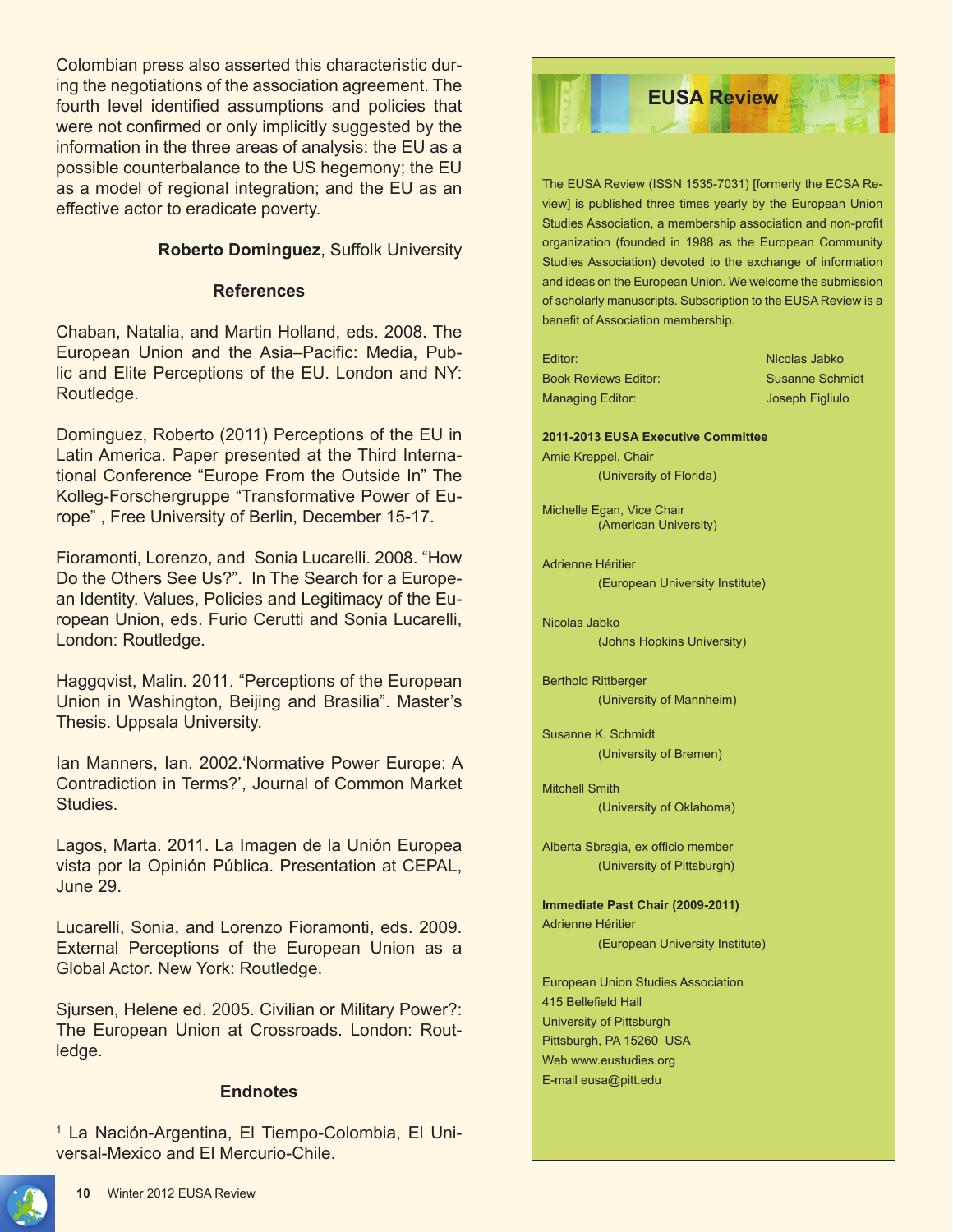Colombian press also asserted this characteristic during the negotiations of the association agreement. The fourth level identified assumptions and policies that were not confirmed or only implicitly suggested by the information in the three areas of analysis: the EU as a possible counterbalance to the US hegemony; the EU as a model of regional integration; and the EU as an effective actor to eradicate poverty.

# **Roberto Dominguez**, Suffolk University

## **References**

Chaban, Natalia, and Martin Holland, eds. 2008. The European Union and the Asia–Pacific: Media, Public and Elite Perceptions of the EU. London and NY: Routledge.

Dominguez, Roberto (2011) Perceptions of the EU in Latin America. Paper presented at the Third International Conference "Europe From the Outside In" The Kolleg-Forschergruppe "Transformative Power of Europe" , Free University of Berlin, December 15-17.

Fioramonti, Lorenzo, and Sonia Lucarelli. 2008. "How Do the Others See Us?". In The Search for a European Identity. Values, Policies and Legitimacy of the European Union, eds. Furio Cerutti and Sonia Lucarelli, London: Routledge.

Haggqvist, Malin. 2011. "Perceptions of the European Union in Washington, Beijing and Brasilia". Master's Thesis. Uppsala University.

Ian Manners, Ian. 2002.'Normative Power Europe: A Contradiction in Terms?', Journal of Common Market Studies.

Lagos, Marta. 2011. La Imagen de la Unión Europea vista por la Opinión Pública. Presentation at CEPAL, June 29.

Lucarelli, Sonia, and Lorenzo Fioramonti, eds. 2009. External Perceptions of the European Union as a Global Actor. New York: Routledge.

Sjursen, Helene ed. 2005. Civilian or Military Power?: The European Union at Crossroads. London: Routledge.

# **Endnotes**

1 La Nación-Argentina, El Tiempo-Colombia, El Universal-Mexico and El Mercurio-Chile.

The EUSA Review (ISSN 1535-7031) [formerly the ECSA Review] is published three times yearly by the European Union Studies Association, a membership association and non-profit organization (founded in 1988 as the European Community Studies Association) devoted to the exchange of information and ideas on the European Union. We welcome the submission of scholarly manuscripts. Subscription to the EUSA Review is a benefit of Association membership. Editor: Nicolas Jabko Book Reviews Editor: Susanne Schmidt Managing Editor: Joseph Figliulo **2011-2013 EUSA Executive Committee** Amie Kreppel, Chair (University of Florida) Michelle Egan, Vice Chair (American University) Adrienne Héritier (European University Institute) Nicolas Jabko (Johns Hopkins University) Berthold Rittberger (University of Mannheim) Susanne K. Schmidt (University of Bremen) Mitchell Smith (University of Oklahoma) Alberta Sbragia, ex officio member (University of Pittsburgh) **Immediate Past Chair (2009-2011)** Adrienne Héritier (European University Institute) European Union Studies Association 415 Bellefield Hall University of Pittsburgh Pittsburgh, PA 15260 USA Web www.eustudies.org E-mail eusa@pitt.edu **EUSA Review** 

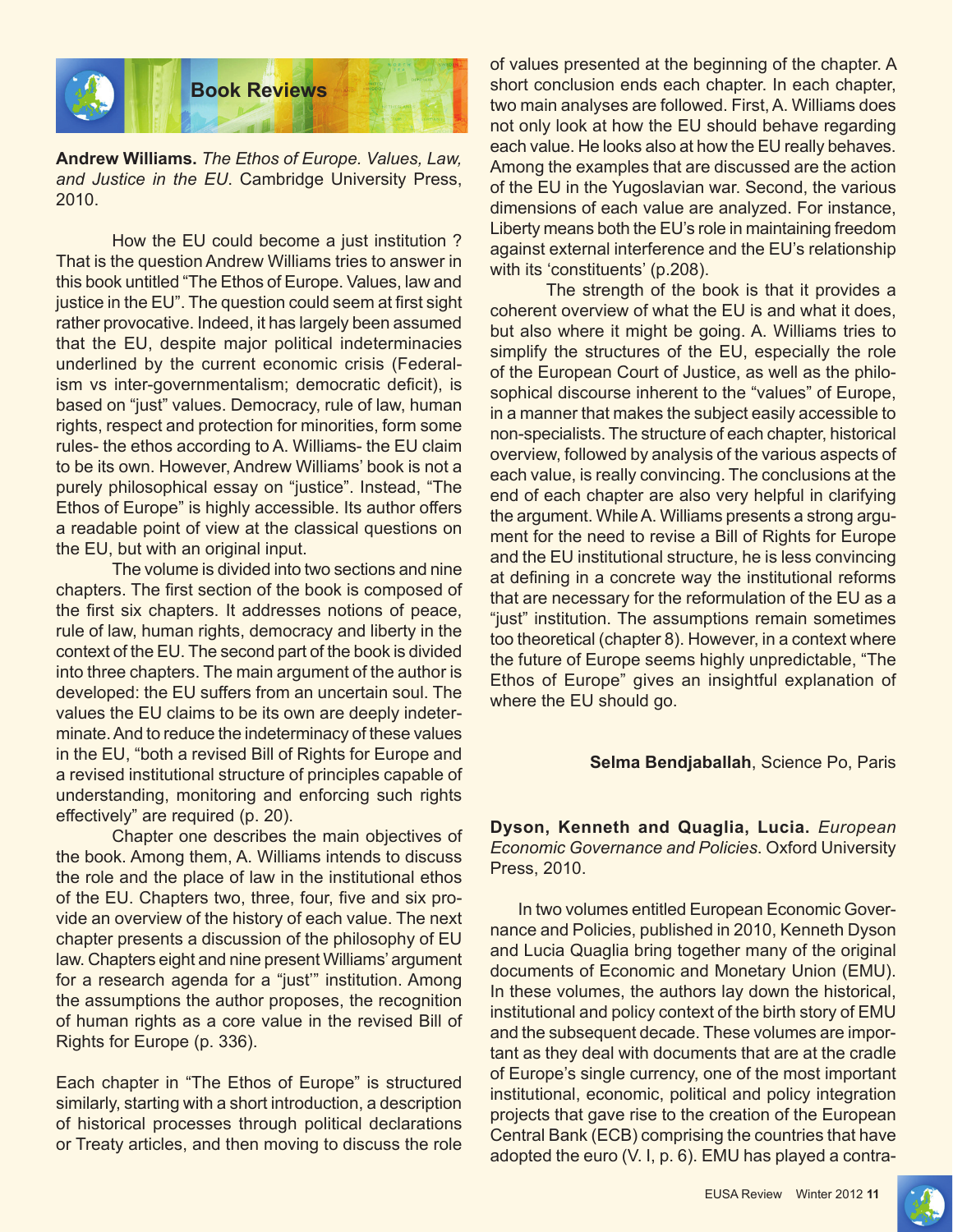

**Andrew Williams.** *The Ethos of Europe. Values, Law, and Justice in the EU*. Cambridge University Press, 2010.

How the EU could become a just institution ? That is the question Andrew Williams tries to answer in this book untitled "The Ethos of Europe. Values, law and justice in the EU". The question could seem at first sight rather provocative. Indeed, it has largely been assumed that the EU, despite major political indeterminacies underlined by the current economic crisis (Federalism vs inter-governmentalism; democratic deficit), is based on "just" values. Democracy, rule of law, human rights, respect and protection for minorities, form some rules- the ethos according to A. Williams- the EU claim to be its own. However, Andrew Williams' book is not a purely philosophical essay on "justice". Instead, "The Ethos of Europe" is highly accessible. Its author offers a readable point of view at the classical questions on the EU, but with an original input.

The volume is divided into two sections and nine chapters. The first section of the book is composed of the first six chapters. It addresses notions of peace, rule of law, human rights, democracy and liberty in the context of the EU. The second part of the book is divided into three chapters. The main argument of the author is developed: the EU suffers from an uncertain soul. The values the EU claims to be its own are deeply indeterminate. And to reduce the indeterminacy of these values in the EU, "both a revised Bill of Rights for Europe and a revised institutional structure of principles capable of understanding, monitoring and enforcing such rights effectively" are required (p. 20).

Chapter one describes the main objectives of the book. Among them, A. Williams intends to discuss the role and the place of law in the institutional ethos of the EU. Chapters two, three, four, five and six provide an overview of the history of each value. The next chapter presents a discussion of the philosophy of EU law. Chapters eight and nine present Williams' argument for a research agenda for a "just'" institution. Among the assumptions the author proposes, the recognition of human rights as a core value in the revised Bill of Rights for Europe (p. 336).

Each chapter in "The Ethos of Europe" is structured similarly, starting with a short introduction, a description of historical processes through political declarations or Treaty articles, and then moving to discuss the role

of values presented at the beginning of the chapter. A short conclusion ends each chapter. In each chapter, two main analyses are followed. First, A. Williams does not only look at how the EU should behave regarding each value. He looks also at how the EU really behaves. Among the examples that are discussed are the action of the EU in the Yugoslavian war. Second, the various dimensions of each value are analyzed. For instance, Liberty means both the EU's role in maintaining freedom against external interference and the EU's relationship with its 'constituents' (p.208).

The strength of the book is that it provides a coherent overview of what the EU is and what it does, but also where it might be going. A. Williams tries to simplify the structures of the EU, especially the role of the European Court of Justice, as well as the philosophical discourse inherent to the "values" of Europe, in a manner that makes the subject easily accessible to non-specialists. The structure of each chapter, historical overview, followed by analysis of the various aspects of each value, is really convincing. The conclusions at the end of each chapter are also very helpful in clarifying the argument. While A. Williams presents a strong argument for the need to revise a Bill of Rights for Europe and the EU institutional structure, he is less convincing at defining in a concrete way the institutional reforms that are necessary for the reformulation of the EU as a "just" institution. The assumptions remain sometimes too theoretical (chapter 8). However, in a context where the future of Europe seems highly unpredictable, "The Ethos of Europe" gives an insightful explanation of where the EU should go.

#### **Selma Bendjaballah**, Science Po, Paris

**Dyson, Kenneth and Quaglia, Lucia.** *European Economic Governance and Policies*. Oxford University Press, 2010.

In two volumes entitled European Economic Governance and Policies, published in 2010, Kenneth Dyson and Lucia Quaglia bring together many of the original documents of Economic and Monetary Union (EMU). In these volumes, the authors lay down the historical, institutional and policy context of the birth story of EMU and the subsequent decade. These volumes are important as they deal with documents that are at the cradle of Europe's single currency, one of the most important institutional, economic, political and policy integration projects that gave rise to the creation of the European Central Bank (ECB) comprising the countries that have adopted the euro (V. I, p. 6). EMU has played a contra-

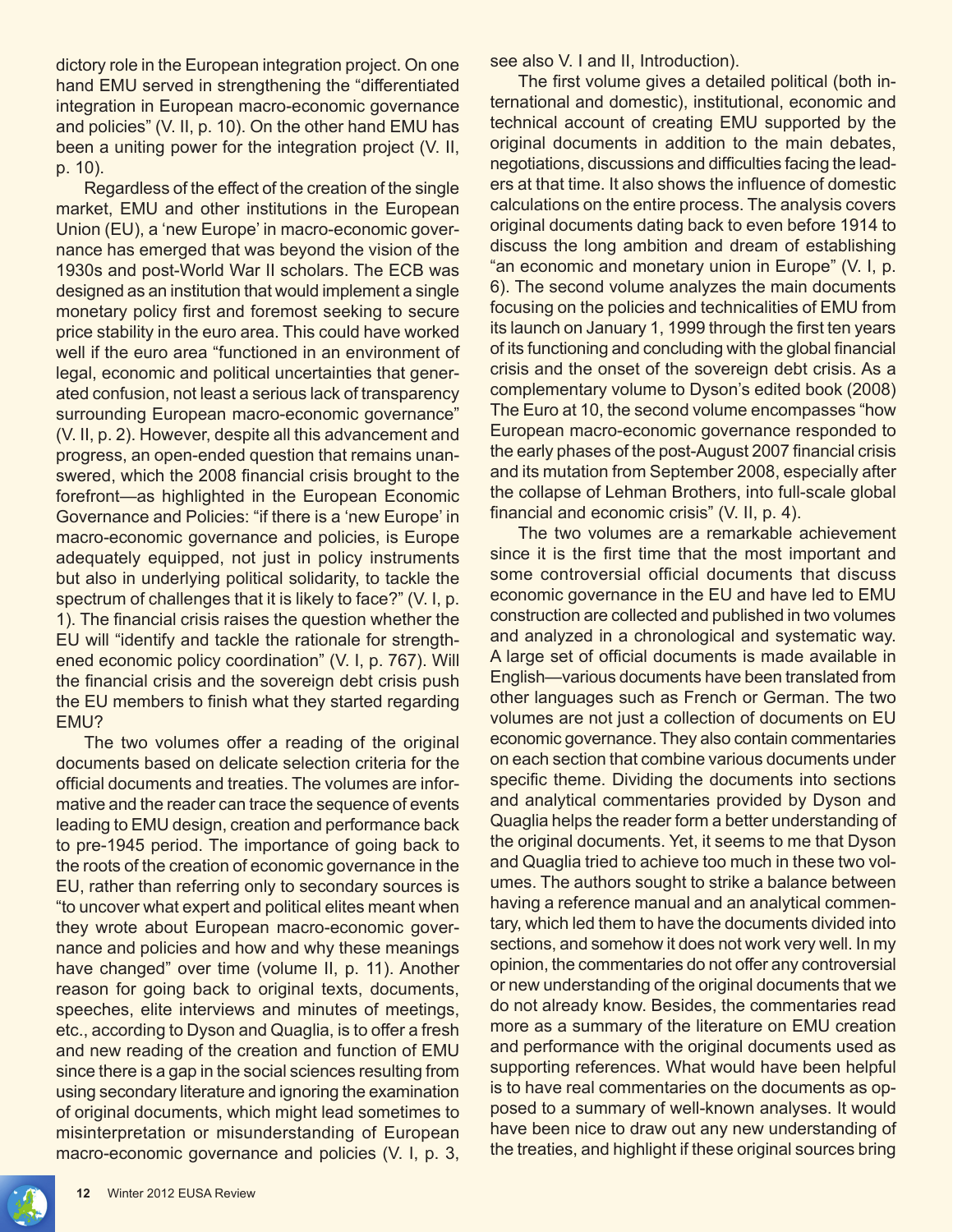dictory role in the European integration project. On one hand EMU served in strengthening the "differentiated integration in European macro-economic governance and policies" (V. II, p. 10). On the other hand EMU has been a uniting power for the integration project (V. II, p. 10).

Regardless of the effect of the creation of the single market, EMU and other institutions in the European Union (EU), a 'new Europe' in macro-economic governance has emerged that was beyond the vision of the 1930s and post-World War II scholars. The ECB was designed as an institution that would implement a single monetary policy first and foremost seeking to secure price stability in the euro area. This could have worked well if the euro area "functioned in an environment of legal, economic and political uncertainties that generated confusion, not least a serious lack of transparency surrounding European macro-economic governance" (V. II, p. 2). However, despite all this advancement and progress, an open-ended question that remains unanswered, which the 2008 financial crisis brought to the forefront—as highlighted in the European Economic Governance and Policies: "if there is a 'new Europe' in macro-economic governance and policies, is Europe adequately equipped, not just in policy instruments but also in underlying political solidarity, to tackle the spectrum of challenges that it is likely to face?" (V. I, p. 1). The financial crisis raises the question whether the EU will "identify and tackle the rationale for strengthened economic policy coordination" (V. I, p. 767). Will the financial crisis and the sovereign debt crisis push the EU members to finish what they started regarding EMU?

The two volumes offer a reading of the original documents based on delicate selection criteria for the official documents and treaties. The volumes are informative and the reader can trace the sequence of events leading to EMU design, creation and performance back to pre-1945 period. The importance of going back to the roots of the creation of economic governance in the EU, rather than referring only to secondary sources is "to uncover what expert and political elites meant when they wrote about European macro-economic governance and policies and how and why these meanings have changed" over time (volume II, p. 11). Another reason for going back to original texts, documents, speeches, elite interviews and minutes of meetings, etc., according to Dyson and Quaglia, is to offer a fresh and new reading of the creation and function of EMU since there is a gap in the social sciences resulting from using secondary literature and ignoring the examination of original documents, which might lead sometimes to misinterpretation or misunderstanding of European macro-economic governance and policies (V. I, p. 3, see also V. I and II, Introduction).

The first volume gives a detailed political (both international and domestic), institutional, economic and technical account of creating EMU supported by the original documents in addition to the main debates, negotiations, discussions and difficulties facing the leaders at that time. It also shows the influence of domestic calculations on the entire process. The analysis covers original documents dating back to even before 1914 to discuss the long ambition and dream of establishing "an economic and monetary union in Europe" (V. I, p. 6). The second volume analyzes the main documents focusing on the policies and technicalities of EMU from its launch on January 1, 1999 through the first ten years of its functioning and concluding with the global financial crisis and the onset of the sovereign debt crisis. As a complementary volume to Dyson's edited book (2008) The Euro at 10, the second volume encompasses "how European macro-economic governance responded to the early phases of the post-August 2007 financial crisis and its mutation from September 2008, especially after the collapse of Lehman Brothers, into full-scale global financial and economic crisis" (V. II, p. 4).

The two volumes are a remarkable achievement since it is the first time that the most important and some controversial official documents that discuss economic governance in the EU and have led to EMU construction are collected and published in two volumes and analyzed in a chronological and systematic way. A large set of official documents is made available in English—various documents have been translated from other languages such as French or German. The two volumes are not just a collection of documents on EU economic governance. They also contain commentaries on each section that combine various documents under specific theme. Dividing the documents into sections and analytical commentaries provided by Dyson and Quaglia helps the reader form a better understanding of the original documents. Yet, it seems to me that Dyson and Quaglia tried to achieve too much in these two volumes. The authors sought to strike a balance between having a reference manual and an analytical commentary, which led them to have the documents divided into sections, and somehow it does not work very well. In my opinion, the commentaries do not offer any controversial or new understanding of the original documents that we do not already know. Besides, the commentaries read more as a summary of the literature on EMU creation and performance with the original documents used as supporting references. What would have been helpful is to have real commentaries on the documents as opposed to a summary of well-known analyses. It would have been nice to draw out any new understanding of the treaties, and highlight if these original sources bring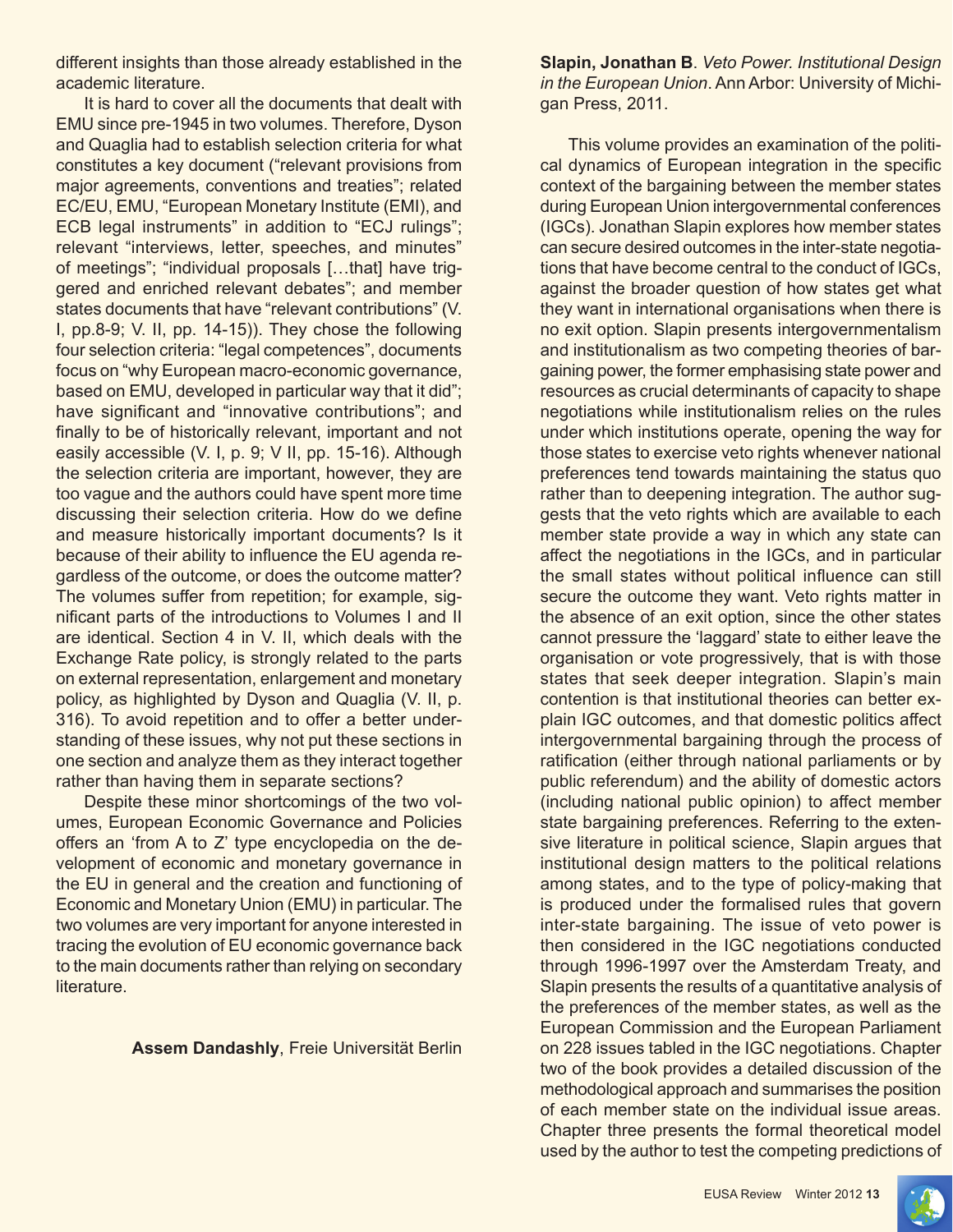different insights than those already established in the academic literature.

It is hard to cover all the documents that dealt with EMU since pre-1945 in two volumes. Therefore, Dyson and Quaglia had to establish selection criteria for what constitutes a key document ("relevant provisions from major agreements, conventions and treaties"; related EC/EU, EMU, "European Monetary Institute (EMI), and ECB legal instruments" in addition to "ECJ rulings"; relevant "interviews, letter, speeches, and minutes" of meetings"; "individual proposals […that] have triggered and enriched relevant debates"; and member states documents that have "relevant contributions" (V. I, pp.8-9; V. II, pp. 14-15)). They chose the following four selection criteria: "legal competences", documents focus on "why European macro-economic governance, based on EMU, developed in particular way that it did"; have significant and "innovative contributions"; and finally to be of historically relevant, important and not easily accessible (V. I, p. 9; V II, pp. 15-16). Although the selection criteria are important, however, they are too vague and the authors could have spent more time discussing their selection criteria. How do we define and measure historically important documents? Is it because of their ability to influence the EU agenda regardless of the outcome, or does the outcome matter? The volumes suffer from repetition; for example, significant parts of the introductions to Volumes I and II are identical. Section 4 in V. II, which deals with the Exchange Rate policy, is strongly related to the parts on external representation, enlargement and monetary policy, as highlighted by Dyson and Quaglia (V. II, p. 316). To avoid repetition and to offer a better understanding of these issues, why not put these sections in one section and analyze them as they interact together rather than having them in separate sections?

Despite these minor shortcomings of the two volumes, European Economic Governance and Policies offers an 'from A to Z' type encyclopedia on the development of economic and monetary governance in the EU in general and the creation and functioning of Economic and Monetary Union (EMU) in particular. The two volumes are very important for anyone interested in tracing the evolution of EU economic governance back to the main documents rather than relying on secondary literature.

**Assem Dandashly**, Freie Universität Berlin

**Slapin, Jonathan B**. *Veto Power. Institutional Design in the European Union*. Ann Arbor: University of Michigan Press, 2011.

This volume provides an examination of the political dynamics of European integration in the specific context of the bargaining between the member states during European Union intergovernmental conferences (IGCs). Jonathan Slapin explores how member states can secure desired outcomes in the inter-state negotiations that have become central to the conduct of IGCs, against the broader question of how states get what they want in international organisations when there is no exit option. Slapin presents intergovernmentalism and institutionalism as two competing theories of bargaining power, the former emphasising state power and resources as crucial determinants of capacity to shape negotiations while institutionalism relies on the rules under which institutions operate, opening the way for those states to exercise veto rights whenever national preferences tend towards maintaining the status quo rather than to deepening integration. The author suggests that the veto rights which are available to each member state provide a way in which any state can affect the negotiations in the IGCs, and in particular the small states without political influence can still secure the outcome they want. Veto rights matter in the absence of an exit option, since the other states cannot pressure the 'laggard' state to either leave the organisation or vote progressively, that is with those states that seek deeper integration. Slapin's main contention is that institutional theories can better explain IGC outcomes, and that domestic politics affect intergovernmental bargaining through the process of ratification (either through national parliaments or by public referendum) and the ability of domestic actors (including national public opinion) to affect member state bargaining preferences. Referring to the extensive literature in political science, Slapin argues that institutional design matters to the political relations among states, and to the type of policy-making that is produced under the formalised rules that govern inter-state bargaining. The issue of veto power is then considered in the IGC negotiations conducted through 1996-1997 over the Amsterdam Treaty, and Slapin presents the results of a quantitative analysis of the preferences of the member states, as well as the European Commission and the European Parliament on 228 issues tabled in the IGC negotiations. Chapter two of the book provides a detailed discussion of the methodological approach and summarises the position of each member state on the individual issue areas. Chapter three presents the formal theoretical model used by the author to test the competing predictions of

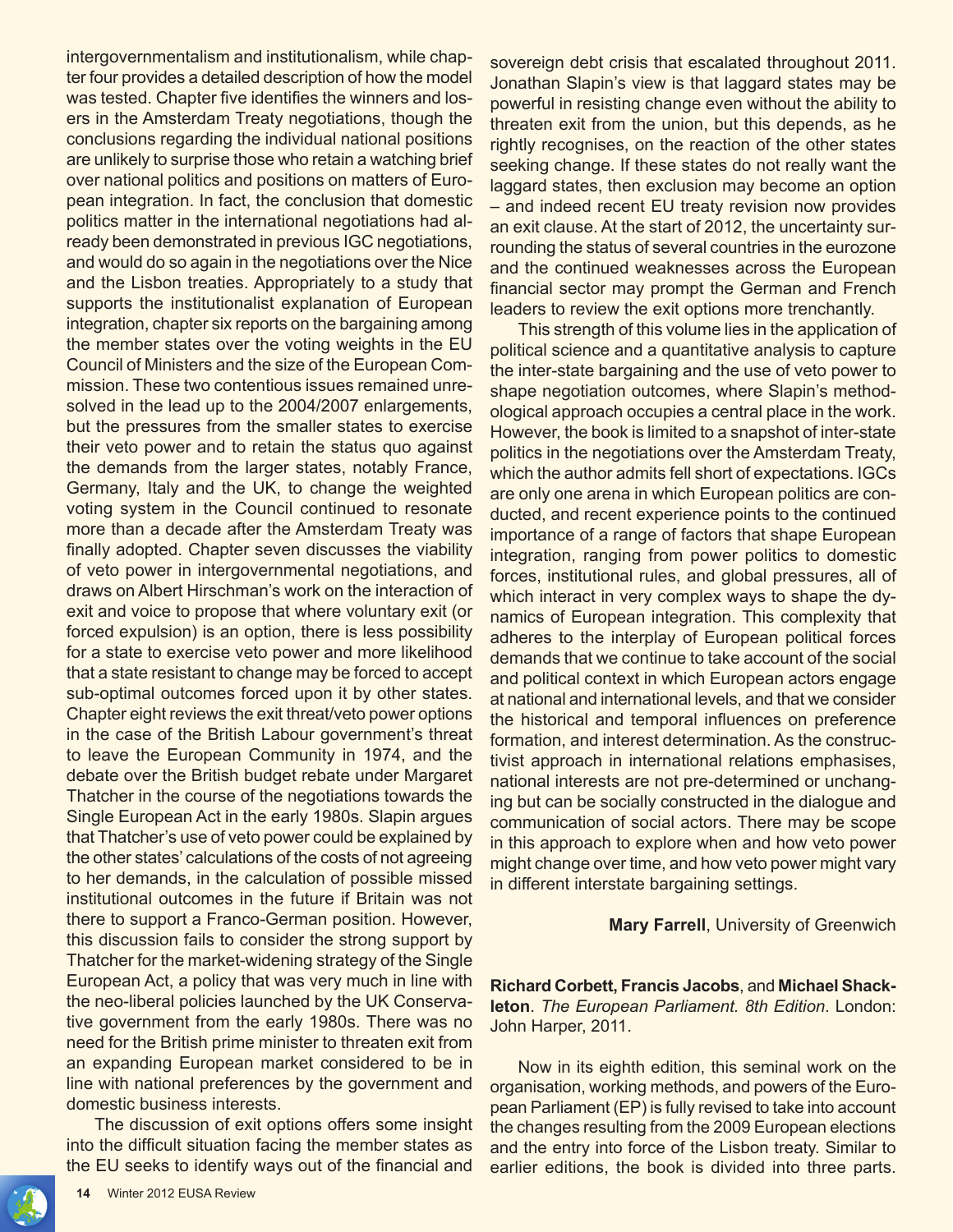intergovernmentalism and institutionalism, while chapter four provides a detailed description of how the model was tested. Chapter five identifies the winners and losers in the Amsterdam Treaty negotiations, though the conclusions regarding the individual national positions are unlikely to surprise those who retain a watching brief over national politics and positions on matters of European integration. In fact, the conclusion that domestic politics matter in the international negotiations had already been demonstrated in previous IGC negotiations, and would do so again in the negotiations over the Nice and the Lisbon treaties. Appropriately to a study that supports the institutionalist explanation of European integration, chapter six reports on the bargaining among the member states over the voting weights in the EU Council of Ministers and the size of the European Commission. These two contentious issues remained unresolved in the lead up to the 2004/2007 enlargements, but the pressures from the smaller states to exercise their veto power and to retain the status quo against the demands from the larger states, notably France, Germany, Italy and the UK, to change the weighted voting system in the Council continued to resonate more than a decade after the Amsterdam Treaty was finally adopted. Chapter seven discusses the viability of veto power in intergovernmental negotiations, and draws on Albert Hirschman's work on the interaction of exit and voice to propose that where voluntary exit (or forced expulsion) is an option, there is less possibility for a state to exercise veto power and more likelihood that a state resistant to change may be forced to accept sub-optimal outcomes forced upon it by other states. Chapter eight reviews the exit threat/veto power options in the case of the British Labour government's threat to leave the European Community in 1974, and the debate over the British budget rebate under Margaret Thatcher in the course of the negotiations towards the Single European Act in the early 1980s. Slapin argues that Thatcher's use of veto power could be explained by the other states' calculations of the costs of not agreeing to her demands, in the calculation of possible missed institutional outcomes in the future if Britain was not there to support a Franco-German position. However, this discussion fails to consider the strong support by Thatcher for the market-widening strategy of the Single European Act, a policy that was very much in line with the neo-liberal policies launched by the UK Conservative government from the early 1980s. There was no need for the British prime minister to threaten exit from an expanding European market considered to be in line with national preferences by the government and domestic business interests.

The discussion of exit options offers some insight into the difficult situation facing the member states as the EU seeks to identify ways out of the financial and

sovereign debt crisis that escalated throughout 2011. Jonathan Slapin's view is that laggard states may be powerful in resisting change even without the ability to threaten exit from the union, but this depends, as he rightly recognises, on the reaction of the other states seeking change. If these states do not really want the laggard states, then exclusion may become an option – and indeed recent EU treaty revision now provides an exit clause. At the start of 2012, the uncertainty surrounding the status of several countries in the eurozone and the continued weaknesses across the European financial sector may prompt the German and French leaders to review the exit options more trenchantly.

This strength of this volume lies in the application of political science and a quantitative analysis to capture the inter-state bargaining and the use of veto power to shape negotiation outcomes, where Slapin's methodological approach occupies a central place in the work. However, the book is limited to a snapshot of inter-state politics in the negotiations over the Amsterdam Treaty, which the author admits fell short of expectations. IGCs are only one arena in which European politics are conducted, and recent experience points to the continued importance of a range of factors that shape European integration, ranging from power politics to domestic forces, institutional rules, and global pressures, all of which interact in very complex ways to shape the dynamics of European integration. This complexity that adheres to the interplay of European political forces demands that we continue to take account of the social and political context in which European actors engage at national and international levels, and that we consider the historical and temporal influences on preference formation, and interest determination. As the constructivist approach in international relations emphasises, national interests are not pre-determined or unchanging but can be socially constructed in the dialogue and communication of social actors. There may be scope in this approach to explore when and how veto power might change over time, and how veto power might vary in different interstate bargaining settings.

#### **Mary Farrell**, University of Greenwich

**Richard Corbett, Francis Jacobs**, and **Michael Shackleton**. *The European Parliament. 8th Edition*. London: John Harper, 2011.

Now in its eighth edition, this seminal work on the organisation, working methods, and powers of the European Parliament (EP) is fully revised to take into account the changes resulting from the 2009 European elections and the entry into force of the Lisbon treaty. Similar to earlier editions, the book is divided into three parts.